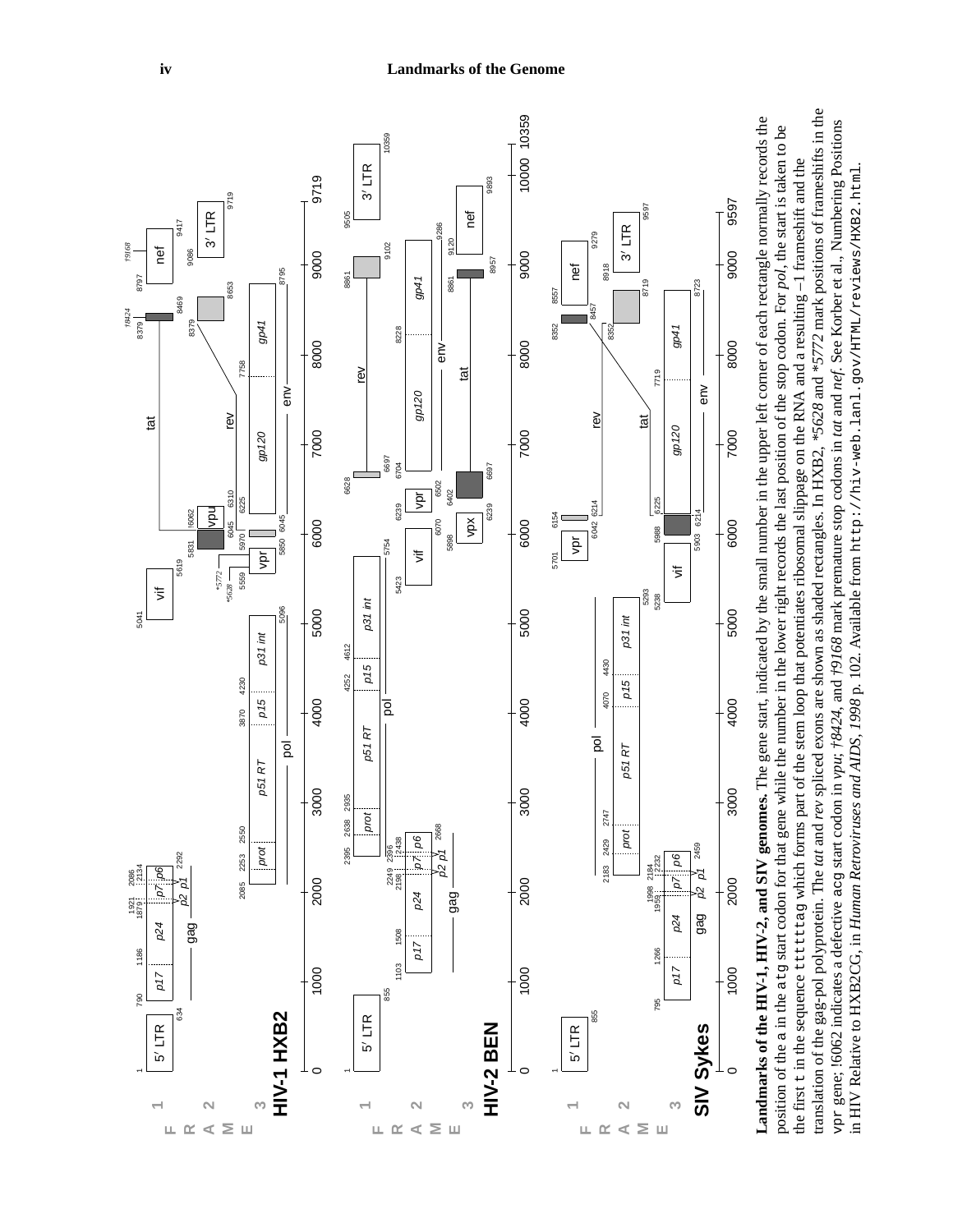

translation of the gag-pol polyprotein. The tat and rev spliced exons are shown as shaded rectangles. In HXB2, \*5628 and \*5772 mark positions of frameshifts in the translation of the gag-pol polyprotein. The *tat* and *rev* spliced exons are shown as shaded rectangles. In HXB2, *\*5628* and *\*5772* mark positions of frameshifts in the vpr gene; 16062 indicates a defective acg start codon in vpu;  $\frac{4}{3}$  and  $\frac{4}{3}$  and  $\frac{4}{3}$  for anark premature stop codons in tat and nef. See Korber et al., Numbering Positions vpr gene; !6062 indicates a defective acg start codon in *vpu*; *†8424*, and *†9168* mark premature stop codons in *tat* and *nef*. See Korber et al., Numbering Positions the first t in the sequence ttttttag which forms part of the stem loop that potentiates ribosomal slippage on the RNA and a resulting -1 frameshift and the the first t in the sequence ttttttag which forms part of the stem loop that potentiates ribosomal slippage on the RNA and a resulting –1 frameshift and the in HIV Relative to HXB2CG, in Human Retroviruses and AIDS, 1998 p. 102. Available from http://hiv-web.lanl.gov/HTML/reviews/HXB2.html. in HIV Relative to HXB2CG, in *Human Retroviruses and AIDS, 1998* p. 102. Available from http://hiv-web.lanl.gov/HTML/reviews/HXB2.html.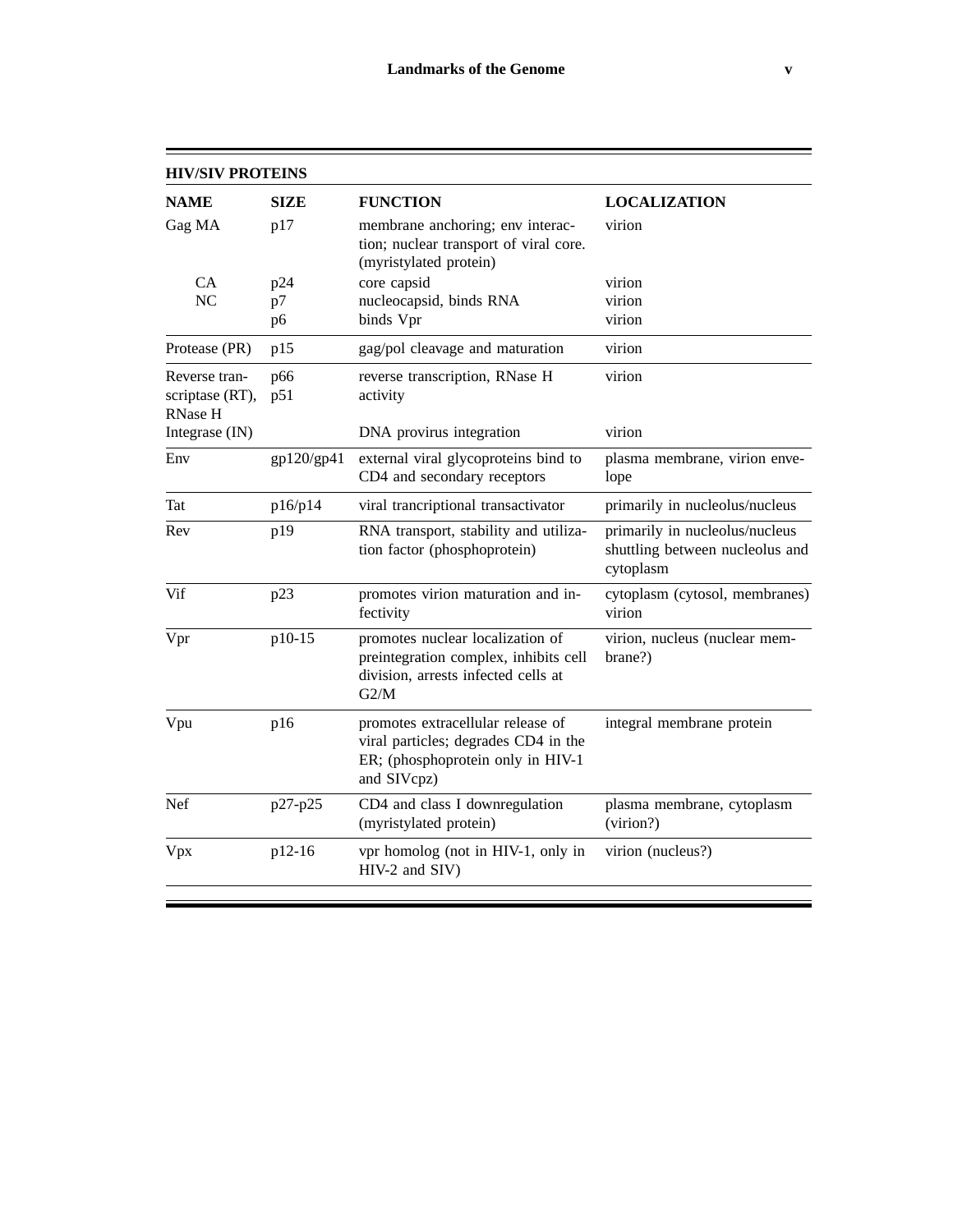| <b>HIV/SIV PROTEINS</b>                            |                |                                                                                                                               |                                                                                |
|----------------------------------------------------|----------------|-------------------------------------------------------------------------------------------------------------------------------|--------------------------------------------------------------------------------|
| <b>NAME</b>                                        | <b>SIZE</b>    | <b>FUNCTION</b>                                                                                                               | <b>LOCALIZATION</b>                                                            |
| Gag MA                                             | p17            | membrane anchoring; env interac-<br>tion; nuclear transport of viral core.<br>(myristylated protein)                          | virion                                                                         |
| CA                                                 | p24            | core capsid                                                                                                                   | virion                                                                         |
| NC                                                 | p7             | nucleocapsid, binds RNA                                                                                                       | virion                                                                         |
|                                                    | p <sub>6</sub> | binds Vpr                                                                                                                     | virion                                                                         |
| Protease (PR)                                      | p15            | gag/pol cleavage and maturation                                                                                               | virion                                                                         |
| Reverse tran-<br>scriptase (RT),<br><b>RNase H</b> | p66<br>p51     | reverse transcription, RNase H<br>activity                                                                                    | virion                                                                         |
| Integrase (IN)                                     |                | DNA provirus integration                                                                                                      | virion                                                                         |
| Env                                                | gp120/gp41     | external viral glycoproteins bind to<br>CD4 and secondary receptors                                                           | plasma membrane, virion enve-<br>lope                                          |
| Tat                                                | p16/p14        | viral trancriptional transactivator                                                                                           | primarily in nucleolus/nucleus                                                 |
| Rev                                                | p19            | RNA transport, stability and utiliza-<br>tion factor (phosphoprotein)                                                         | primarily in nucleolus/nucleus<br>shuttling between nucleolus and<br>cytoplasm |
| Vif                                                | p23            | promotes virion maturation and in-<br>fectivity                                                                               | cytoplasm (cytosol, membranes)<br>virion                                       |
| Vpr                                                | p10-15         | promotes nuclear localization of<br>preintegration complex, inhibits cell<br>division, arrests infected cells at<br>G2/M      | virion, nucleus (nuclear mem-<br>brane?)                                       |
| Vpu                                                | p16            | promotes extracellular release of<br>viral particles; degrades CD4 in the<br>ER; (phosphoprotein only in HIV-1<br>and SIVcpz) | integral membrane protein                                                      |
| Nef                                                | p27-p25        | CD4 and class I downregulation<br>(myristylated protein)                                                                      | plasma membrane, cytoplasm<br>(virion?)                                        |
| Vpx                                                | p12-16         | vpr homolog (not in HIV-1, only in                                                                                            | virion (nucleus?)                                                              |

HIV-2 and SIV)

 $\equiv$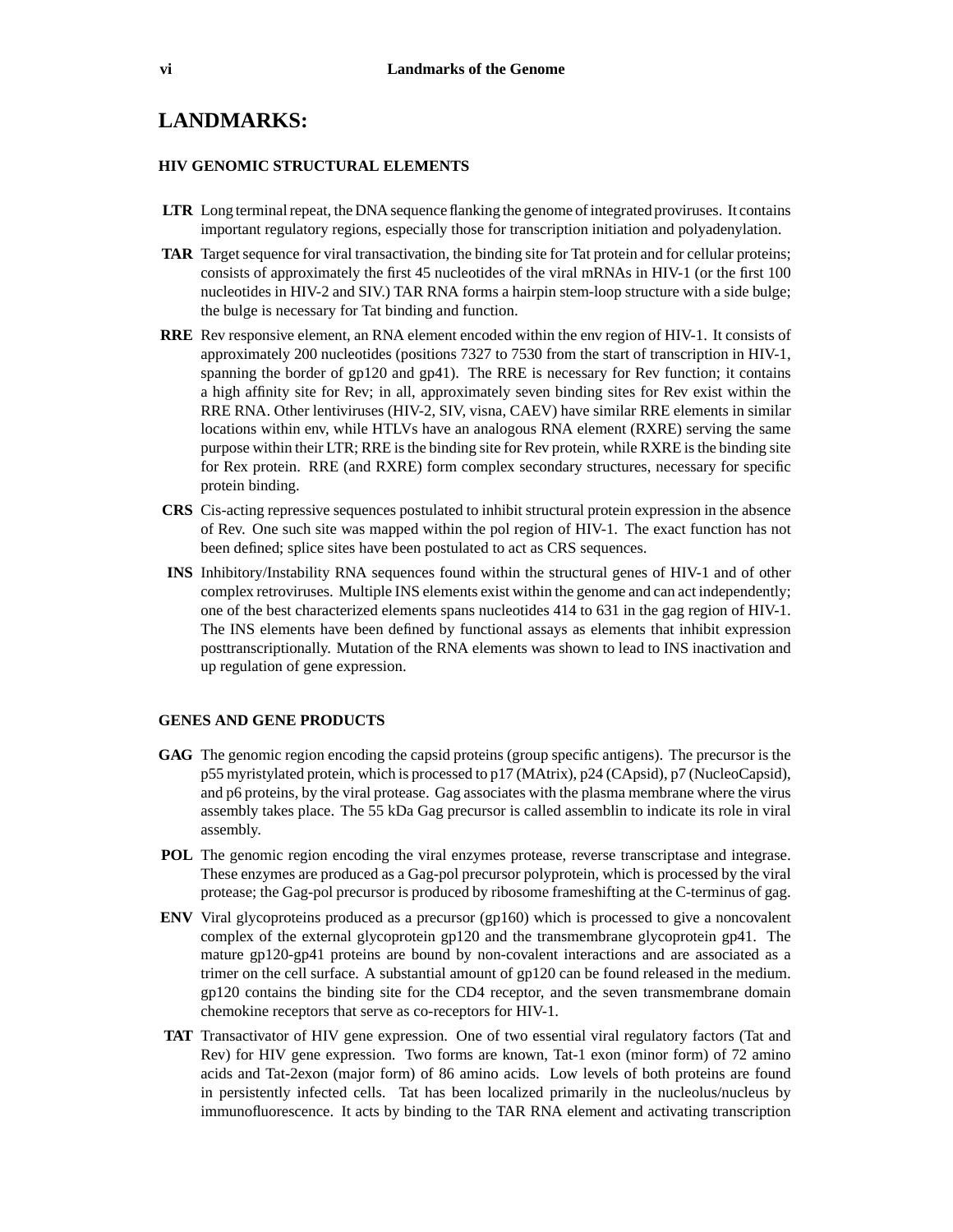## **LANDMARKS:**

## **HIV GENOMIC STRUCTURAL ELEMENTS**

- **LTR** Long terminal repeat, the DNA sequence flanking the genome of integrated proviruses. It contains important regulatory regions, especially those for transcription initiation and polyadenylation.
- **TAR** Target sequence for viral transactivation, the binding site for Tat protein and for cellular proteins; consists of approximately the first 45 nucleotides of the viral mRNAs in HIV-1 (or the first 100 nucleotides in HIV-2 and SIV.) TAR RNA forms a hairpin stem-loop structure with a side bulge; the bulge is necessary for Tat binding and function.
- **RRE** Rev responsive element, an RNA element encoded within the env region of HIV-1. It consists of approximately 200 nucleotides (positions 7327 to 7530 from the start of transcription in HIV-1, spanning the border of gp120 and gp41). The RRE is necessary for Rev function; it contains a high affinity site for Rev; in all, approximately seven binding sites for Rev exist within the RRE RNA. Other lentiviruses (HIV-2, SIV, visna, CAEV) have similar RRE elements in similar locations within env, while HTLVs have an analogous RNA element (RXRE) serving the same purpose within their LTR; RRE is the binding site for Rev protein, while RXRE is the binding site for Rex protein. RRE (and RXRE) form complex secondary structures, necessary for specific protein binding.
- **CRS** Cis-acting repressive sequences postulated to inhibit structural protein expression in the absence of Rev. One such site was mapped within the pol region of HIV-1. The exact function has not been defined; splice sites have been postulated to act as CRS sequences.
- **INS** Inhibitory/Instability RNA sequences found within the structural genes of HIV-1 and of other complex retroviruses. Multiple INS elements exist within the genome and can act independently; one of the best characterized elements spans nucleotides 414 to 631 in the gag region of HIV-1. The INS elements have been defined by functional assays as elements that inhibit expression posttranscriptionally. Mutation of the RNA elements was shown to lead to INS inactivation and up regulation of gene expression.

## **GENES AND GENE PRODUCTS**

- **GAG** The genomic region encoding the capsid proteins (group specific antigens). The precursor is the p55 myristylated protein, which is processed to p17 (MAtrix), p24 (CApsid), p7 (NucleoCapsid), and p6 proteins, by the viral protease. Gag associates with the plasma membrane where the virus assembly takes place. The 55 kDa Gag precursor is called assemblin to indicate its role in viral assembly.
- **POL** The genomic region encoding the viral enzymes protease, reverse transcriptase and integrase. These enzymes are produced as a Gag-pol precursor polyprotein, which is processed by the viral protease; the Gag-pol precursor is produced by ribosome frameshifting at the C-terminus of gag.
- **ENV** Viral glycoproteins produced as a precursor (gp160) which is processed to give a noncovalent complex of the external glycoprotein gp120 and the transmembrane glycoprotein gp41. The mature gp120-gp41 proteins are bound by non-covalent interactions and are associated as a trimer on the cell surface. A substantial amount of gp120 can be found released in the medium. gp120 contains the binding site for the CD4 receptor, and the seven transmembrane domain chemokine receptors that serve as co-receptors for HIV-1.
- **TAT** Transactivator of HIV gene expression. One of two essential viral regulatory factors (Tat and Rev) for HIV gene expression. Two forms are known, Tat-1 exon (minor form) of 72 amino acids and Tat-2exon (major form) of 86 amino acids. Low levels of both proteins are found in persistently infected cells. Tat has been localized primarily in the nucleolus/nucleus by immunofluorescence. It acts by binding to the TAR RNA element and activating transcription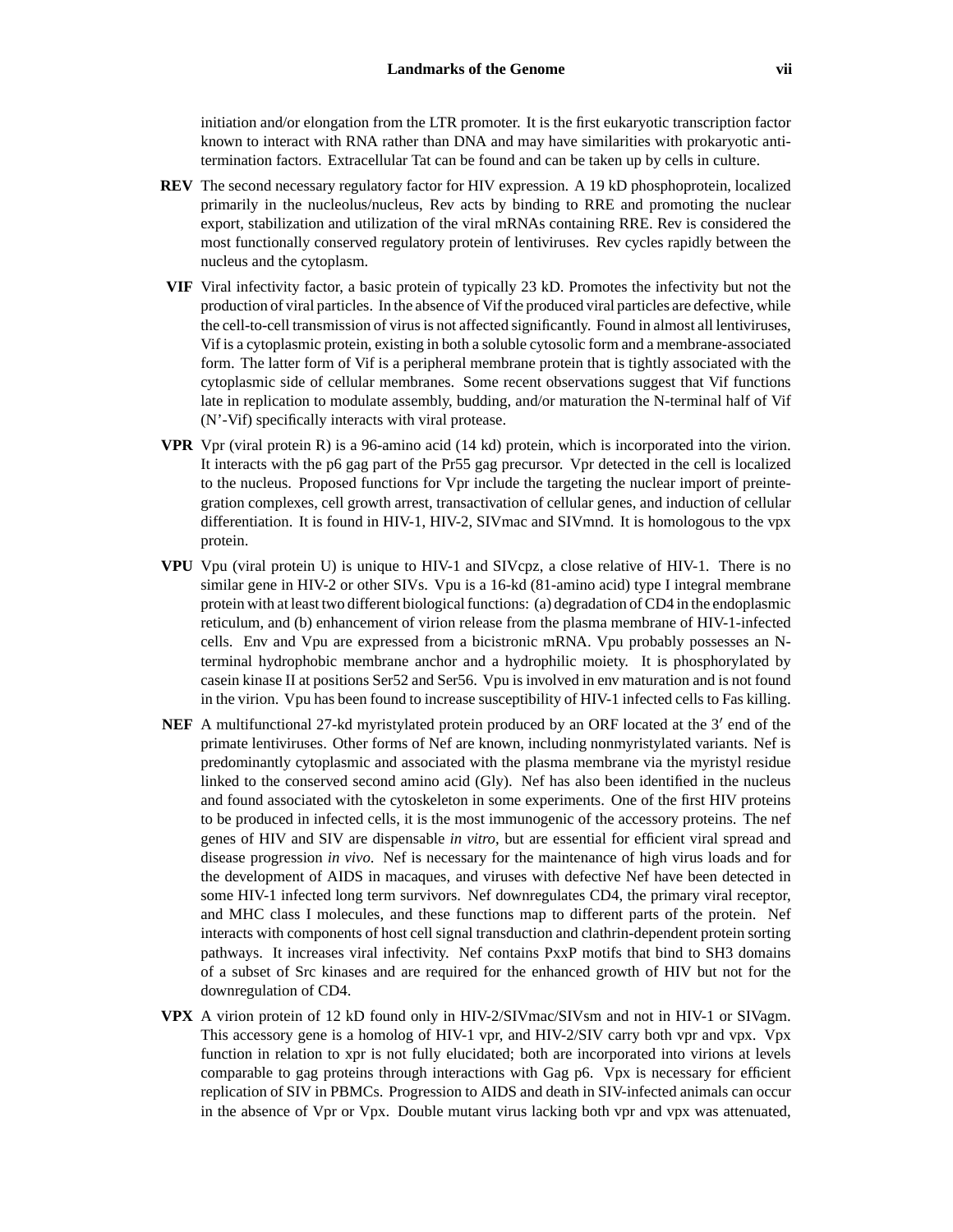initiation and/or elongation from the LTR promoter. It is the first eukaryotic transcription factor known to interact with RNA rather than DNA and may have similarities with prokaryotic antitermination factors. Extracellular Tat can be found and can be taken up by cells in culture.

- **REV** The second necessary regulatory factor for HIV expression. A 19 kD phosphoprotein, localized primarily in the nucleolus/nucleus, Rev acts by binding to RRE and promoting the nuclear export, stabilization and utilization of the viral mRNAs containing RRE. Rev is considered the most functionally conserved regulatory protein of lentiviruses. Rev cycles rapidly between the nucleus and the cytoplasm.
- **VIF** Viral infectivity factor, a basic protein of typically 23 kD. Promotes the infectivity but not the production of viral particles. In the absence of Vif the produced viral particles are defective, while the cell-to-cell transmission of virus is not affected significantly. Found in almost all lentiviruses, Vif is a cytoplasmic protein, existing in both a soluble cytosolic form and a membrane-associated form. The latter form of Vif is a peripheral membrane protein that is tightly associated with the cytoplasmic side of cellular membranes. Some recent observations suggest that Vif functions late in replication to modulate assembly, budding, and/or maturation the N-terminal half of Vif (N'-Vif) specifically interacts with viral protease.
- **VPR** Vpr (viral protein R) is a 96-amino acid (14 kd) protein, which is incorporated into the virion. It interacts with the p6 gag part of the Pr55 gag precursor. Vpr detected in the cell is localized to the nucleus. Proposed functions for Vpr include the targeting the nuclear import of preintegration complexes, cell growth arrest, transactivation of cellular genes, and induction of cellular differentiation. It is found in HIV-1, HIV-2, SIVmac and SIVmnd. It is homologous to the vpx protein.
- **VPU** Vpu (viral protein U) is unique to HIV-1 and SIVcpz, a close relative of HIV-1. There is no similar gene in HIV-2 or other SIVs. Vpu is a 16-kd (81-amino acid) type I integral membrane protein with at least two different biological functions: (a) degradation of CD4 in the endoplasmic reticulum, and (b) enhancement of virion release from the plasma membrane of HIV-1-infected cells. Env and Vpu are expressed from a bicistronic mRNA. Vpu probably possesses an Nterminal hydrophobic membrane anchor and a hydrophilic moiety. It is phosphorylated by casein kinase II at positions Ser52 and Ser56. Vpu is involved in env maturation and is not found in the virion. Vpu has been found to increase susceptibility of HIV-1 infected cells to Fas killing.
- **NEF** A multifunctional 27-kd myristylated protein produced by an ORF located at the 3' end of the primate lentiviruses. Other forms of Nef are known, including nonmyristylated variants. Nef is predominantly cytoplasmic and associated with the plasma membrane via the myristyl residue linked to the conserved second amino acid (Gly). Nef has also been identified in the nucleus and found associated with the cytoskeleton in some experiments. One of the first HIV proteins to be produced in infected cells, it is the most immunogenic of the accessory proteins. The nef genes of HIV and SIV are dispensable *in vitro*, but are essential for efficient viral spread and disease progression *in vivo*. Nef is necessary for the maintenance of high virus loads and for the development of AIDS in macaques, and viruses with defective Nef have been detected in some HIV-1 infected long term survivors. Nef downregulates CD4, the primary viral receptor, and MHC class I molecules, and these functions map to different parts of the protein. Nef interacts with components of host cell signal transduction and clathrin-dependent protein sorting pathways. It increases viral infectivity. Nef contains PxxP motifs that bind to SH3 domains of a subset of Src kinases and are required for the enhanced growth of HIV but not for the downregulation of CD4.
- **VPX** A virion protein of 12 kD found only in HIV-2/SIVmac/SIVsm and not in HIV-1 or SIVagm. This accessory gene is a homolog of HIV-1 vpr, and HIV-2/SIV carry both vpr and vpx. Vpx function in relation to xpr is not fully elucidated; both are incorporated into virions at levels comparable to gag proteins through interactions with Gag p6. Vpx is necessary for efficient replication of SIV in PBMCs. Progression to AIDS and death in SIV-infected animals can occur in the absence of Vpr or Vpx. Double mutant virus lacking both vpr and vpx was attenuated,